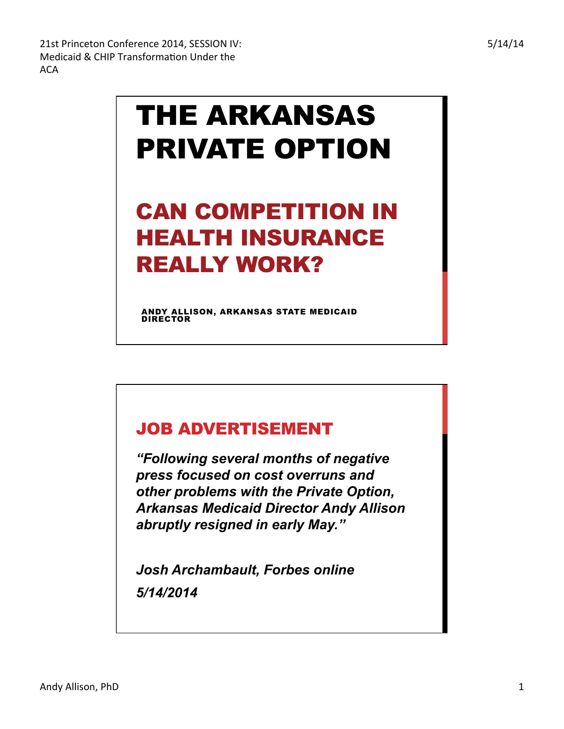## THE ARKANSAS PRIVATE OPTION

## CAN COMPETITION IN HEALTH INSURANCE REALLY WORK?

ANDY ALLISON, ARKANSAS STATE MEDICAID DIRECTOR

## JOB ADVERTISEMENT

*"Following several months of negative press focused on cost overruns and other problems with the Private Option, Arkansas Medicaid Director Andy Allison abruptly resigned in early May."* 

*Josh Archambault, Forbes online 5/14/2014*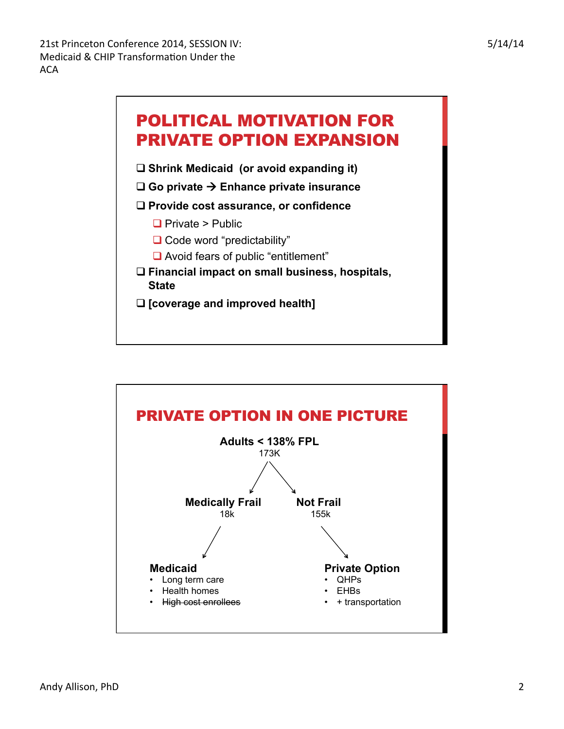